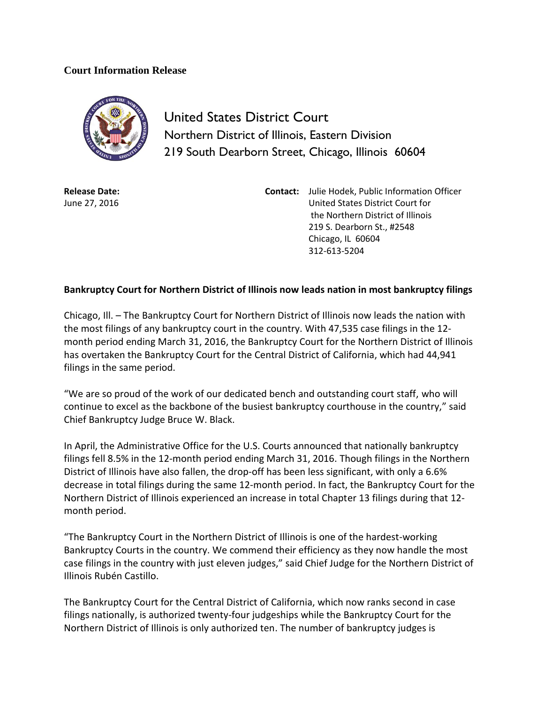## **Court Information Release**



United States District Court Northern District of Illinois, Eastern Division 219 South Dearborn Street, Chicago, Illinois 60604

**Release Date:** June 27, 2016 **Contact:** Julie Hodek, Public Information Officer United States District Court for the Northern District of Illinois 219 S. Dearborn St., #2548 Chicago, IL 60604 312-613-5204

## **Bankruptcy Court for Northern District of Illinois now leads nation in most bankruptcy filings**

Chicago, Ill. – The Bankruptcy Court for Northern District of Illinois now leads the nation with the most filings of any bankruptcy court in the country. With 47,535 case filings in the 12 month period ending March 31, 2016, the Bankruptcy Court for the Northern District of Illinois has overtaken the Bankruptcy Court for the Central District of California, which had 44,941 filings in the same period.

"We are so proud of the work of our dedicated bench and outstanding court staff, who will continue to excel as the backbone of the busiest bankruptcy courthouse in the country," said Chief Bankruptcy Judge Bruce W. Black.

In April, the Administrative Office for the U.S. Courts announced that nationally bankruptcy filings fell 8.5% in the 12-month period ending March 31, 2016. Though filings in the Northern District of Illinois have also fallen, the drop-off has been less significant, with only a 6.6% decrease in total filings during the same 12-month period. In fact, the Bankruptcy Court for the Northern District of Illinois experienced an increase in total Chapter 13 filings during that 12 month period.

"The Bankruptcy Court in the Northern District of Illinois is one of the hardest-working Bankruptcy Courts in the country. We commend their efficiency as they now handle the most case filings in the country with just eleven judges," said Chief Judge for the Northern District of Illinois Rubén Castillo.

The Bankruptcy Court for the Central District of California, which now ranks second in case filings nationally, is authorized twenty-four judgeships while the Bankruptcy Court for the Northern District of Illinois is only authorized ten. The number of bankruptcy judges is